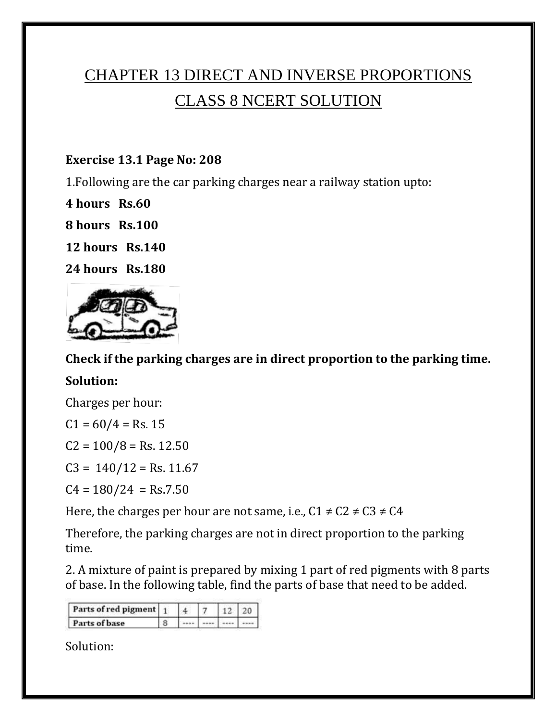# CHAPTER 13 DIRECT AND INVERSE PROPORTIONS CLASS 8 NCERT SOLUTION

#### **Exercise 13.1 Page No: 208**

1.Following are the car parking charges near a railway station upto:

**4 hours Rs.60**

**8 hours Rs.100**

**12 hours Rs.140**

**24 hours Rs.180**



**Check if the parking charges are in direct proportion to the parking time.**

#### **Solution:**

Charges per hour:

 $C1 = 60/4 = Rs. 15$ 

 $C2 = 100/8 =$  Rs. 12.50

 $C3 = 140/12 = Rs. 11.67$ 

 $C4 = 180/24 = Rs.7.50$ 

Here, the charges per hour are not same, i.e.,  $C1 \neq C2 \neq C3 \neq C4$ 

Therefore, the parking charges are not in direct proportion to the parking time.

2. A mixture of paint is prepared by mixing 1 part of red pigments with 8 parts of base. In the following table, find the parts of base that need to be added.

| Parts of red pigment 1 |  |  |  |
|------------------------|--|--|--|
| Parts of base          |  |  |  |

Solution: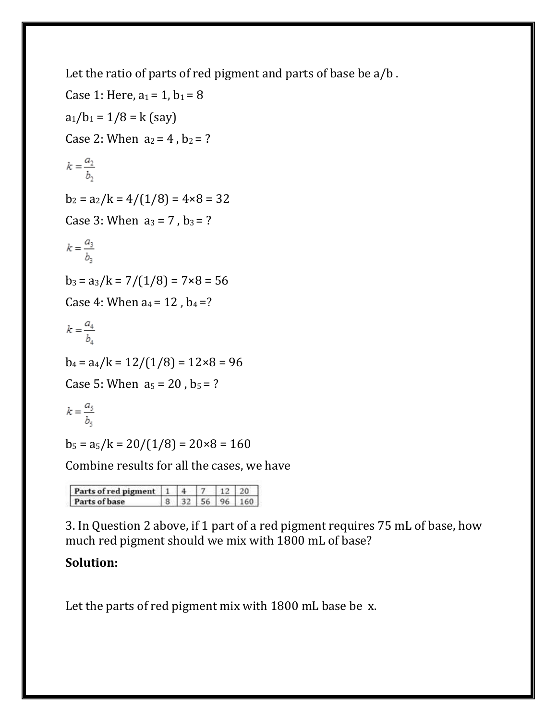Let the ratio of parts of red pigment and parts of base be a/b .

Case 1: Here,  $a_1 = 1$ ,  $b_1 = 8$  $a_1/b_1 = 1/8 = k$  (say) Case 2: When  $a_2 = 4$ ,  $b_2 = ?$  $k = \frac{a_2}{b_2}$  $b_2 = a_2/k = 4/(1/8) = 4 \times 8 = 32$ Case 3: When  $a_3 = 7$ ,  $b_3 = ?$  $k = \frac{a_3}{b_2}$  $b_3 = a_3/k = 7/(1/8) = 7 \times 8 = 56$ Case 4: When  $a_4 = 12$ ,  $b_4 = ?$  $k = \frac{a_4}{b_4}$  $b_4 = a_4/k = 12/(1/8) = 12 \times 8 = 96$ Case 5: When  $a_5 = 20$ ,  $b_5 = ?$  $k = \frac{a_5}{b_5}$  $b_5 = a_5/k = 20/(1/8) = 20 \times 8 = 160$ 

Combine results for all the cases, we have

| Parts of red pigment 1 |  |     |             |  |
|------------------------|--|-----|-------------|--|
| Parts of base          |  | 561 | $Q_{\rm A}$ |  |

3. In Question 2 above, if 1 part of a red pigment requires 75 mL of base, how much red pigment should we mix with 1800 mL of base?

# **Solution:**

Let the parts of red pigment mix with 1800 mL base be x.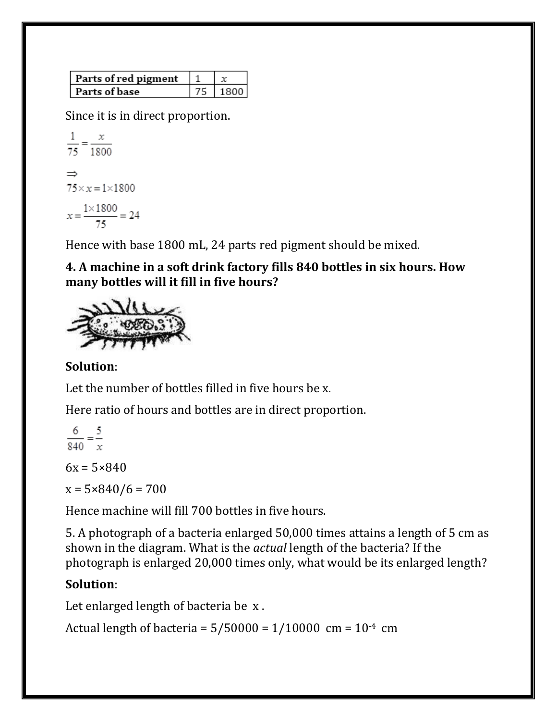| Parts of red pigment |  |
|----------------------|--|
| Parts of base        |  |

Since it is in direct proportion.

$$
\frac{1}{75} = \frac{x}{1800}
$$
  
\n
$$
\Rightarrow
$$
  
\n
$$
75 \times x = 1 \times 1800
$$
  
\n
$$
x = \frac{1 \times 1800}{75} = 24
$$

Hence with base 1800 mL, 24 parts red pigment should be mixed.

**4. A machine in a soft drink factory fills 840 bottles in six hours. How many bottles will it fill in five hours?**



## **Solution**:

Let the number of bottles filled in five hours be x.

Here ratio of hours and bottles are in direct proportion.

 $\frac{6}{840} = \frac{5}{x}$ 

 $6x = 5 \times 840$ 

 $x = 5 \times 840/6 = 700$ 

Hence machine will fill 700 bottles in five hours.

5. A photograph of a bacteria enlarged 50,000 times attains a length of 5 cm as shown in the diagram. What is the *actual* length of the bacteria? If the photograph is enlarged 20,000 times only, what would be its enlarged length?

## **Solution**:

Let enlarged length of bacteria be x .

Actual length of bacteria =  $5/50000 = 1/10000$  cm =  $10^{-4}$  cm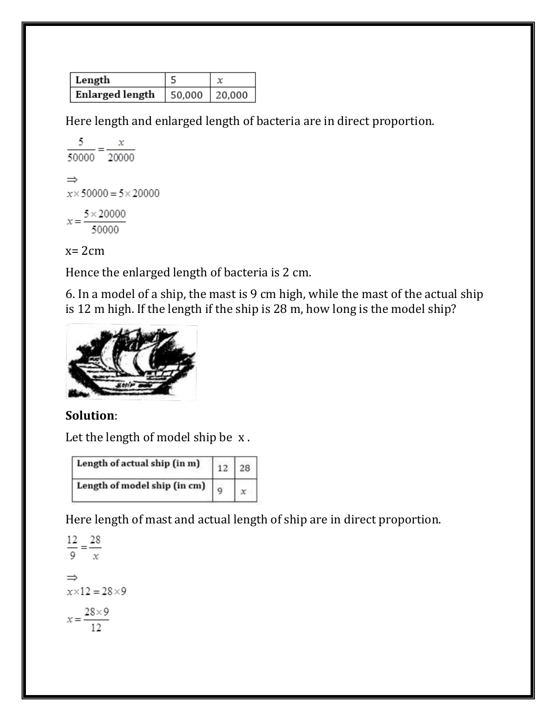| Length          |               |  |
|-----------------|---------------|--|
| Enlarged length | 50,000 20,000 |  |

Here length and enlarged length of bacteria are in direct proportion.

$$
\frac{5}{50000} = \frac{x}{20000}
$$
\n
$$
\Rightarrow
$$
\n
$$
x \times 50000 = 5 \times 20000
$$
\n
$$
x = \frac{5 \times 20000}{50000}
$$

 $x=2cm$ 

Hence the enlarged length of bacteria is 2 cm.

6. In a model of a ship, the mast is 9 cm high, while the mast of the actual ship is 12 m high. If the length if the ship is 28 m, how long is the model ship?



## **Solution**:

Let the length of model ship be x .



Here length of mast and actual length of ship are in direct proportion.

```
\frac{12}{9} = \frac{28}{x}\Rightarrowx \times 12 = 28 \times 9x = \frac{28 \times 9}{12}
```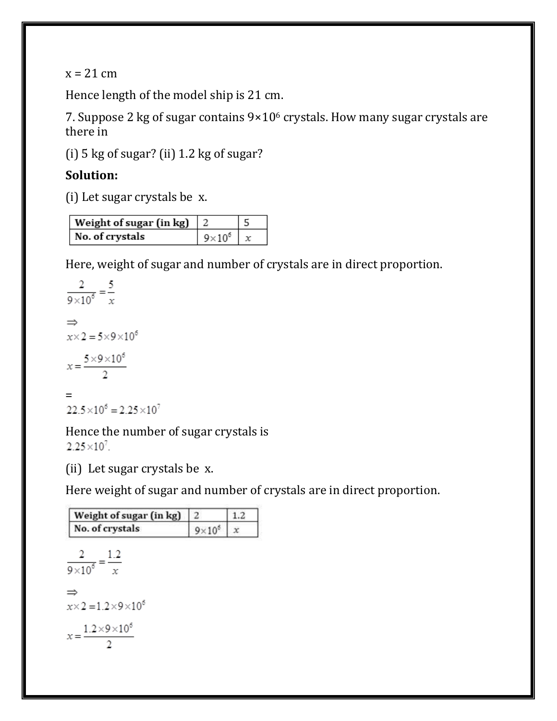$x = 21$  cm

Hence length of the model ship is 21 cm.

7. Suppose 2 kg of sugar contains 9×10<sup>6</sup> crystals. How many sugar crystals are there in

(i) 5 kg of sugar? (ii) 1.2 kg of sugar?

## **Solution:**

(i) Let sugar crystals be x.

| Weight of sugar (in kg) $\mid$ 2 |                 |  |
|----------------------------------|-----------------|--|
| No. of crystals                  | $9\times10^{6}$ |  |

Here, weight of sugar and number of crystals are in direct proportion.

$$
\frac{2}{9 \times 10^6} = \frac{5}{x}
$$
  
\n
$$
\Rightarrow
$$
  
\n
$$
x \times 2 = 5 \times 9 \times 10^6
$$
  
\n
$$
x = \frac{5 \times 9 \times 10^6}{2}
$$
  
\n
$$
=
$$
  
\n22.5 × 10<sup>6</sup> = 2.25 × 10<sup>7</sup>

Hence the number of sugar crystals is  $2.25 \times 10^{7}$ .

(ii) Let sugar crystals be x.

Here weight of sugar and number of crystals are in direct proportion.

| 2             | 1.2 |
|---------------|-----|
| $9\times10^6$ | x   |
|               |     |
|               |     |
|               |     |
|               |     |
|               |     |
|               |     |
|               |     |
|               |     |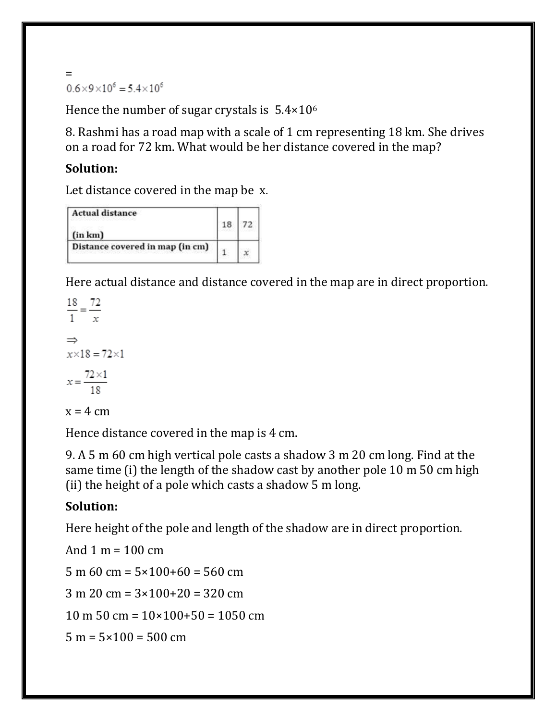$=$ <br>0.6×9×10<sup>6</sup> = 5.4×10<sup>6</sup>

Hence the number of sugar crystals is  $5.4 \times 10^6$ 

8. Rashmi has a road map with a scale of 1 cm representing 18 km. She drives on a road for 72 km. What would be her distance covered in the map?

#### **Solution:**

Let distance covered in the map be x.

| <b>Actual distance</b><br>1. 아이는 아이들은 아이들이 아이들이 아이들이 아니다. |  |
|-----------------------------------------------------------|--|
| (in km)                                                   |  |
| Distance covered in map (in cm)                           |  |

Here actual distance and distance covered in the map are in direct proportion.

 $\frac{18}{1} = \frac{72}{x}$  $\Rightarrow$  $x \times 18 = 72 \times 1$  $x = \frac{72 \times 1}{18}$ 

 $x = 4$  cm

Hence distance covered in the map is 4 cm.

9. A 5 m 60 cm high vertical pole casts a shadow 3 m 20 cm long. Find at the same time (i) the length of the shadow cast by another pole 10 m 50 cm high (ii) the height of a pole which casts a shadow 5 m long.

## **Solution:**

Here height of the pole and length of the shadow are in direct proportion.

And 1 m =  $100 \text{ cm}$ 5 m 60 cm =  $5 \times 100+60 = 560$  cm  $3 m 20 cm = 3 \times 100 + 20 = 320 cm$  $10 \text{ m } 50 \text{ cm} = 10 \times 100 + 50 = 1050 \text{ cm}$  $5 m = 5 \times 100 = 500 cm$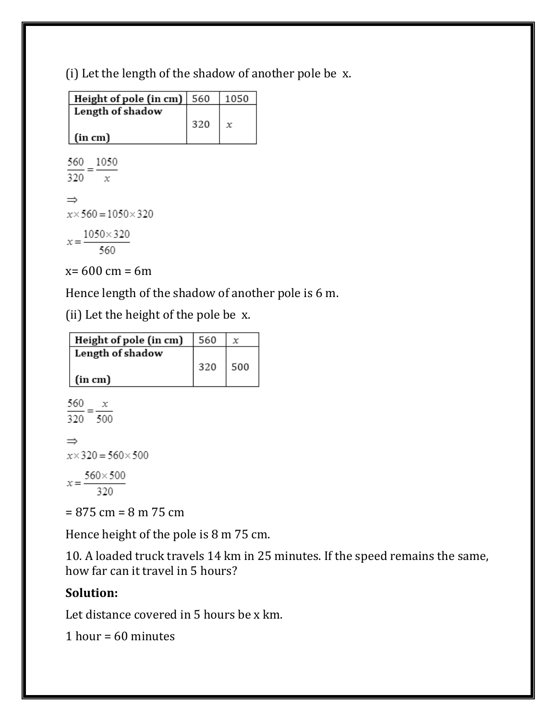(i) Let the length of the shadow of another pole be x.

| Height of pole (in cm) $ 560$ |     | 1050 |
|-------------------------------|-----|------|
| Length of shadow              | 320 | x    |
| (in cm)                       |     |      |

 $\frac{560}{320} = \frac{1050}{x}$  $\Rightarrow$  $x \times 560 = 1050 \times 320$  $x = \frac{1050 \times 320}{560}$ 

 $x= 600$  cm = 6m

Hence length of the shadow of another pole is 6 m.

(ii) Let the height of the pole be x.

| Height of pole (in cm) | 560       |  |
|------------------------|-----------|--|
| Length of shadow       | $320$ 500 |  |
| $\vert$ (in cm)        |           |  |

```
\frac{560}{320} = \frac{x}{500}\Rightarrowx \times 320 = 560 \times 500x = \frac{560 \times 500}{320}
```
 $= 875$  cm  $= 8$  m  $75$  cm

Hence height of the pole is 8 m 75 cm.

10. A loaded truck travels 14 km in 25 minutes. If the speed remains the same, how far can it travel in 5 hours?

# **Solution:**

Let distance covered in 5 hours be x km.

1 hour =  $60$  minutes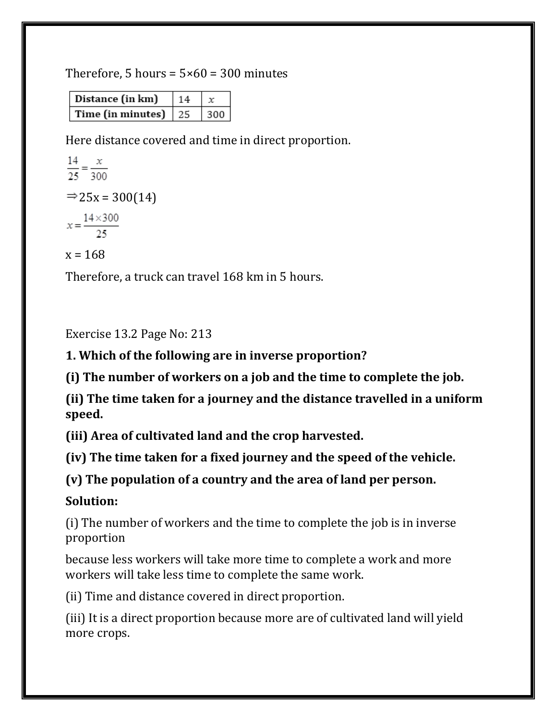Therefore, 5 hours =  $5 \times 60 = 300$  minutes

| Distance (in km)             | 14 |     |
|------------------------------|----|-----|
| Time (in minutes) $\vert$ 25 |    | 300 |

Here distance covered and time in direct proportion.

 $\frac{14}{25} = \frac{x}{300}$  $\Rightarrow$  25x = 300(14)  $x = \frac{14 \times 300}{25}$  $x = 168$ 

Therefore, a truck can travel 168 km in 5 hours.

Exercise 13.2 Page No: 213

**1. Which of the following are in inverse proportion?**

**(i) The number of workers on a job and the time to complete the job.**

**(ii) The time taken for a journey and the distance travelled in a uniform speed.**

**(iii) Area of cultivated land and the crop harvested.**

**(iv) The time taken for a fixed journey and the speed of the vehicle.**

**(v) The population of a country and the area of land per person.**

**Solution:**

(i) The number of workers and the time to complete the job is in inverse proportion

because less workers will take more time to complete a work and more workers will take less time to complete the same work.

(ii) Time and distance covered in direct proportion.

(iii) It is a direct proportion because more are of cultivated land will yield more crops.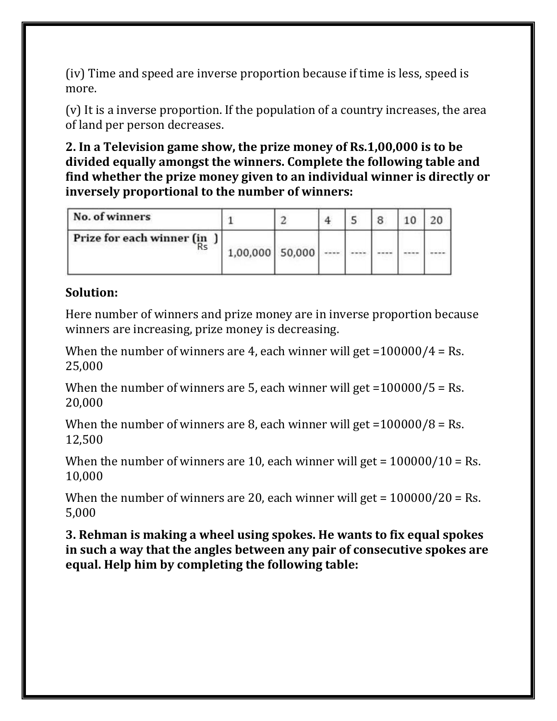(iv) Time and speed are inverse proportion because if time is less, speed is more.

(v) It is a inverse proportion. If the population of a country increases, the area of land per person decreases.

**2. In a Television game show, the prize money of Rs.1,00,000 is to be divided equally amongst the winners. Complete the following table and find whether the prize money given to an individual winner is directly or inversely proportional to the number of winners:**

| No. of winners                  |                 |  |  |  |
|---------------------------------|-----------------|--|--|--|
| Prize for each winner (in<br>Rs | 1,00,000 50,000 |  |  |  |

#### **Solution:**

Here number of winners and prize money are in inverse proportion because winners are increasing, prize money is decreasing.

When the number of winners are 4, each winner will get  $=100000/4$  = Rs. 25,000

When the number of winners are 5, each winner will get  $=100000/5$  = Rs. 20,000

When the number of winners are 8, each winner will get = $100000/8$  = Rs. 12,500

When the number of winners are 10, each winner will get =  $100000/10 =$  Rs. 10,000

When the number of winners are 20, each winner will get  $= 100000/20 =$  Rs. 5,000

**3. Rehman is making a wheel using spokes. He wants to fix equal spokes in such a way that the angles between any pair of consecutive spokes are equal. Help him by completing the following table:**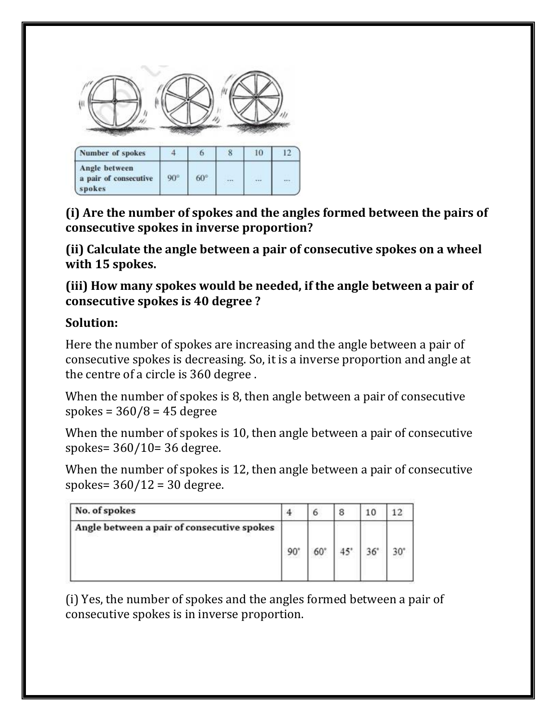

**(i) Are the number of spokes and the angles formed between the pairs of consecutive spokes in inverse proportion?**

**(ii) Calculate the angle between a pair of consecutive spokes on a wheel with 15 spokes.**

**(iii) How many spokes would be needed, if the angle between a pair of consecutive spokes is 40 degree ?**

#### **Solution:**

Here the number of spokes are increasing and the angle between a pair of consecutive spokes is decreasing. So, it is a inverse proportion and angle at the centre of a circle is 360 degree .

When the number of spokes is 8, then angle between a pair of consecutive spokes =  $360/8$  = 45 degree

When the number of spokes is 10, then angle between a pair of consecutive spokes= 360/10= 36 degree.

When the number of spokes is 12, then angle between a pair of consecutive spokes= 360/12 = 30 degree.

| No. of spokes                              |    |    | 8            | 10         |  |
|--------------------------------------------|----|----|--------------|------------|--|
| Angle between a pair of consecutive spokes | 90 | 60 | $45^{\circ}$ | $36^\circ$ |  |

(i) Yes, the number of spokes and the angles formed between a pair of consecutive spokes is in inverse proportion.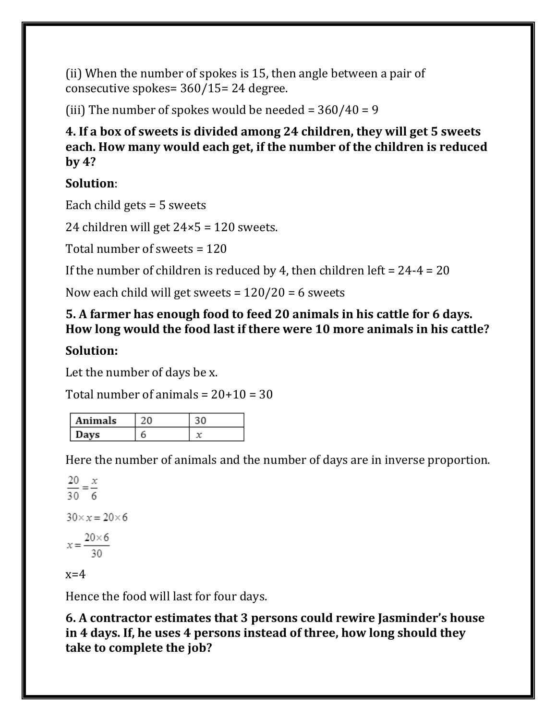(ii) When the number of spokes is 15, then angle between a pair of consecutive spokes= 360/15= 24 degree.

(iii) The number of spokes would be needed =  $360/40 = 9$ 

**4. If a box of sweets is divided among 24 children, they will get 5 sweets each. How many would each get, if the number of the children is reduced by 4?**

# **Solution**:

Each child gets = 5 sweets

24 children will get  $24 \times 5 = 120$  sweets.

Total number of sweets = 120

If the number of children is reduced by 4, then children left =  $24-4 = 20$ 

Now each child will get sweets =  $120/20 = 6$  sweets

## **5. A farmer has enough food to feed 20 animals in his cattle for 6 days. How long would the food last if there were 10 more animals in his cattle?**

# **Solution:**

Let the number of days be x.

Total number of animals  $= 20+10 = 30$ 

| Animals |  |
|---------|--|
| Davs    |  |

Here the number of animals and the number of days are in inverse proportion.

 $\frac{20}{30} = \frac{x}{6}$  $30 \times x = 20 \times 6$  $x = \frac{20 \times 6}{30}$  $x=4$ 

Hence the food will last for four days.

**6. A contractor estimates that 3 persons could rewire Jasminder's house in 4 days. If, he uses 4 persons instead of three, how long should they take to complete the job?**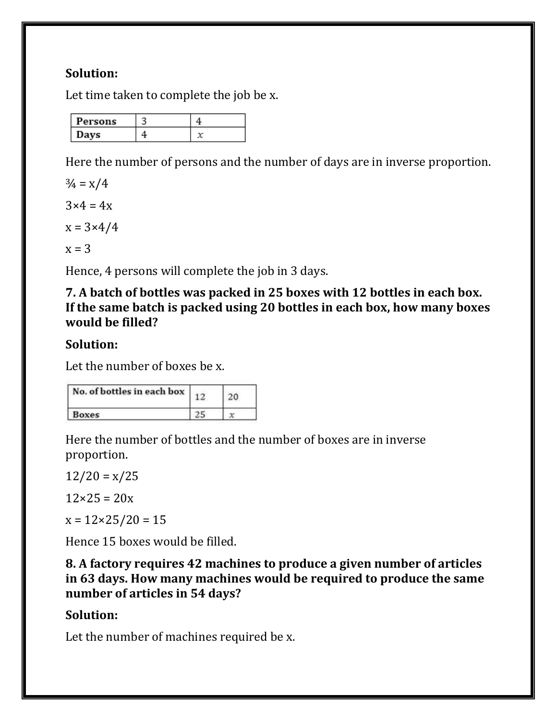## **Solution:**

Let time taken to complete the job be x.

| Persons |  |
|---------|--|
| Davs    |  |

Here the number of persons and the number of days are in inverse proportion.

 $\frac{3}{4} = x/4$  $3\times 4 = 4x$ 

 $x = 3 \times 4/4$ 

 $x = 3$ 

Hence, 4 persons will complete the job in 3 days.

**7. A batch of bottles was packed in 25 boxes with 12 bottles in each box. If the same batch is packed using 20 bottles in each box, how many boxes would be filled?**

## **Solution:**

Let the number of boxes be x.

| No. of bottles in each box |  |
|----------------------------|--|
| <b>Boxes</b>               |  |

Here the number of bottles and the number of boxes are in inverse proportion.

 $12/20 = x/25$ 

 $12 \times 25 = 20x$ 

 $x = 12 \times 25 / 20 = 15$ 

Hence 15 boxes would be filled.

**8. A factory requires 42 machines to produce a given number of articles in 63 days. How many machines would be required to produce the same number of articles in 54 days?**

# **Solution:**

Let the number of machines required be x.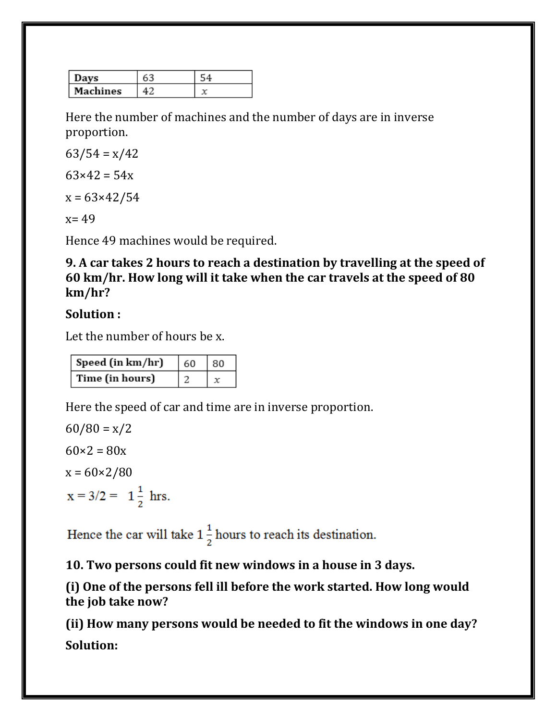| Davs          |  |
|---------------|--|
| Machines<br>ı |  |

Here the number of machines and the number of days are in inverse proportion.

 $63/54 = x/42$  $63 \times 42 = 54x$ 

 $x = 63 \times 42 / 54$ 

 $x = 49$ 

Hence 49 machines would be required.

**9. A car takes 2 hours to reach a destination by travelling at the speed of 60 km/hr. How long will it take when the car travels at the speed of 80 km/hr?**

## **Solution :**

Let the number of hours be x.

| Speed (in km/hr) | 60 | 80 |
|------------------|----|----|
| Time (in hours)  |    |    |

Here the speed of car and time are in inverse proportion.

 $60/80 = x/2$  $60\times2 = 80x$  $x = 60 \times 2/80$  $x = 3/2 = 1\frac{1}{2}$  hrs.

Hence the car will take  $1\frac{1}{2}$  hours to reach its destination.

**10. Two persons could fit new windows in a house in 3 days.**

**(i) One of the persons fell ill before the work started. How long would the job take now?**

**(ii) How many persons would be needed to fit the windows in one day? Solution:**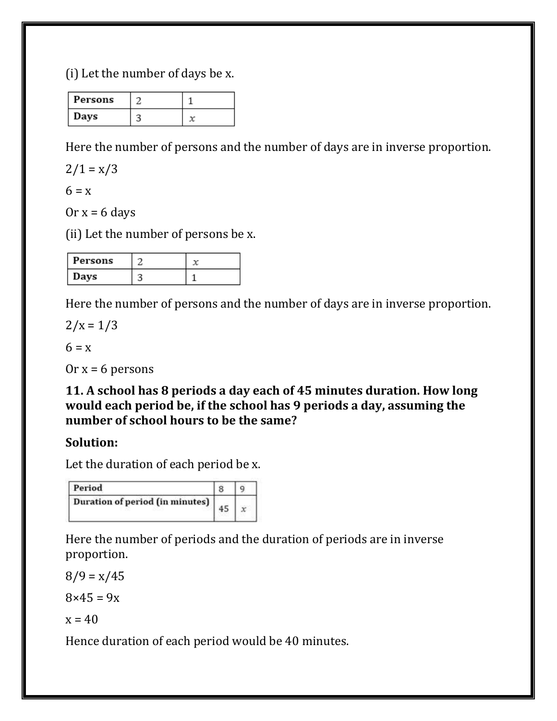(i) Let the number of days be x.

| Persons |  |
|---------|--|
| Days    |  |

Here the number of persons and the number of days are in inverse proportion.

 $2/1 = x/3$ 

 $6 = x$ 

Or  $x = 6$  days

(ii) Let the number of persons be x.

| Persons |  |
|---------|--|
| Days    |  |

Here the number of persons and the number of days are in inverse proportion.

 $2/x = 1/3$ 

 $6 = x$ 

Or  $x = 6$  persons

**11. A school has 8 periods a day each of 45 minutes duration. How long would each period be, if the school has 9 periods a day, assuming the number of school hours to be the same?**

#### **Solution:**

Let the duration of each period be x.

| Period                          |  |
|---------------------------------|--|
| Duration of period (in minutes) |  |

Here the number of periods and the duration of periods are in inverse proportion.

 $8/9 = x/45$ 

 $8 \times 45 = 9x$ 

 $x = 40$ 

Hence duration of each period would be 40 minutes.